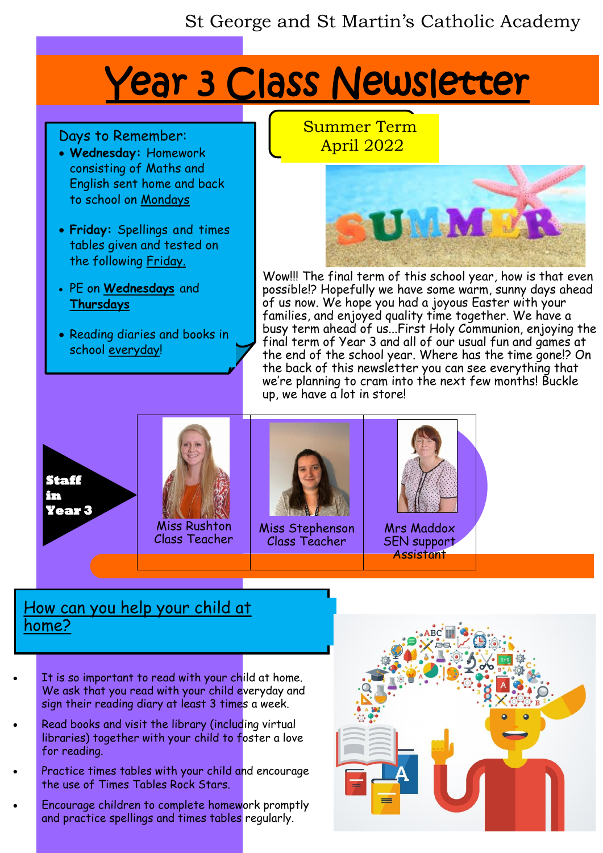## St George and St Martin's Catholic Academy

# Year 3 Class Newsletter

#### Days to Remember:

- **Wednesday:** Homework consisting of Maths and English sent home and back to school on Mondays
- **Friday:** Spellings and times tables given and tested on the following Friday.
- PE on **Wednesdays** and **Thursdays**
- Reading diaries and books in school everyday!

Summer Term April 2022



Wow!!! The final term of this school year, how is that even possible!? Hopefully we have some warm, sunny days ahead of us now. We hope you had a joyous Easter with your families, and enjoyed quality time together. We have a busy term ahead of us...First Holy Communion, enjoying the final term of Year 3 and all of our usual fun and games at the end of the school year. Where has the time gone!? On the back of this newsletter you can see everything that we're planning to cram into the next few months! Buckle up, we have a lot in store!









Miss Stephenson Class Teacher



Mrs Maddox SEN support **Assistant** 

### How can you help your child at home?

- It is so important to read with your child at home. We ask that you read with your child everyday and sign their reading diary at least 3 times a week.
- Read books and visit the library (including virtual libraries) together with your child to foster a love for reading.
- Practice times tables with your child and encourage the use of Times Tables Rock Stars.
- Encourage children to complete homework promptly and practice spellings and times tables regularly.